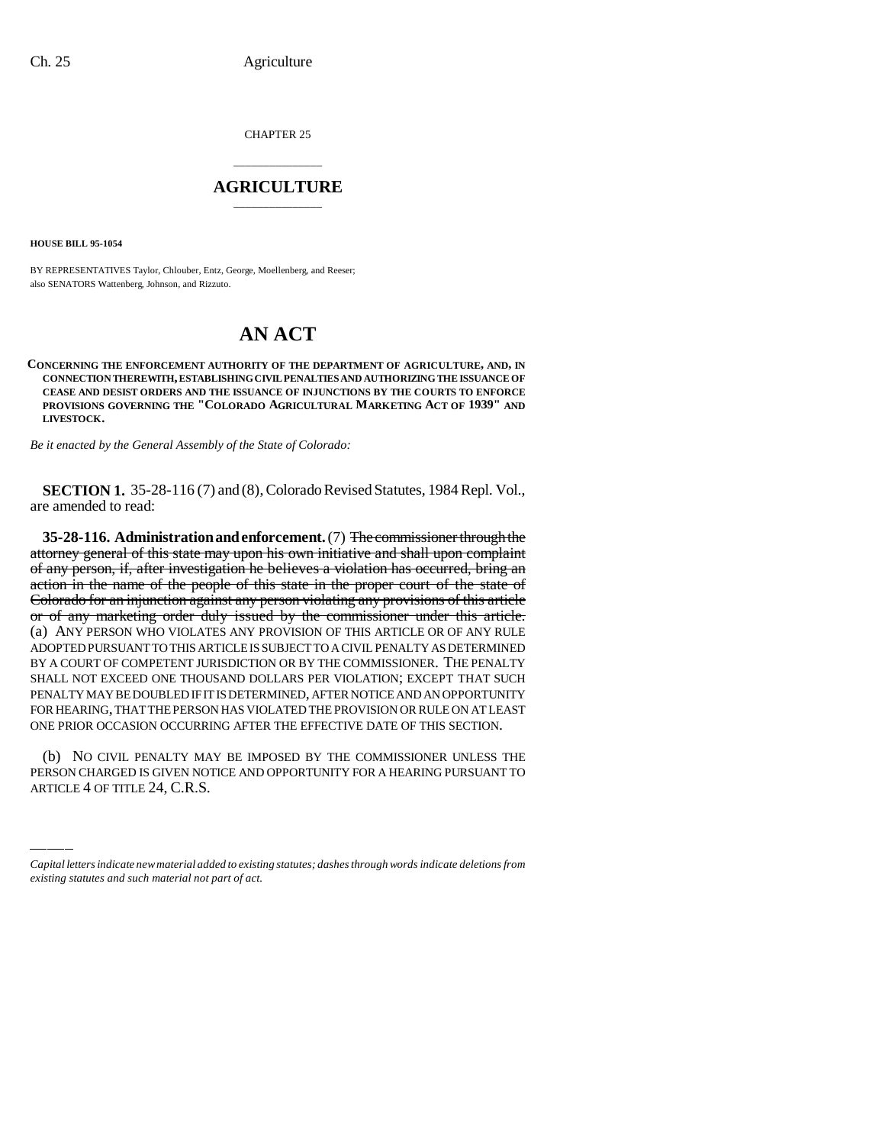CHAPTER 25

# \_\_\_\_\_\_\_\_\_\_\_\_\_\_\_ **AGRICULTURE** \_\_\_\_\_\_\_\_\_\_\_\_\_\_\_

**HOUSE BILL 95-1054**

BY REPRESENTATIVES Taylor, Chlouber, Entz, George, Moellenberg, and Reeser; also SENATORS Wattenberg, Johnson, and Rizzuto.

# **AN ACT**

**CONCERNING THE ENFORCEMENT AUTHORITY OF THE DEPARTMENT OF AGRICULTURE, AND, IN CONNECTION THEREWITH, ESTABLISHING CIVIL PENALTIES AND AUTHORIZING THE ISSUANCE OF CEASE AND DESIST ORDERS AND THE ISSUANCE OF INJUNCTIONS BY THE COURTS TO ENFORCE PROVISIONS GOVERNING THE "COLORADO AGRICULTURAL MARKETING ACT OF 1939" AND LIVESTOCK.**

*Be it enacted by the General Assembly of the State of Colorado:*

**SECTION 1.** 35-28-116 (7) and (8), Colorado Revised Statutes, 1984 Repl. Vol., are amended to read:

**35-28-116. Administration and enforcement.** (7) The commissioner through the attorney general of this state may upon his own initiative and shall upon complaint of any person, if, after investigation he believes a violation has occurred, bring an action in the name of the people of this state in the proper court of the state of Colorado for an injunction against any person violating any provisions of this article or of any marketing order duly issued by the commissioner under this article. (a) ANY PERSON WHO VIOLATES ANY PROVISION OF THIS ARTICLE OR OF ANY RULE ADOPTED PURSUANT TO THIS ARTICLE IS SUBJECT TO A CIVIL PENALTY AS DETERMINED BY A COURT OF COMPETENT JURISDICTION OR BY THE COMMISSIONER. THE PENALTY SHALL NOT EXCEED ONE THOUSAND DOLLARS PER VIOLATION; EXCEPT THAT SUCH PENALTY MAY BE DOUBLED IF IT IS DETERMINED, AFTER NOTICE AND AN OPPORTUNITY FOR HEARING, THAT THE PERSON HAS VIOLATED THE PROVISION OR RULE ON AT LEAST ONE PRIOR OCCASION OCCURRING AFTER THE EFFECTIVE DATE OF THIS SECTION.

(b) NO CIVIL PENALTY MAY BE IMPOSED BY THE COMMISSIONER UNLESS THE PERSON CHARGED IS GIVEN NOTICE AND OPPORTUNITY FOR A HEARING PURSUANT TO ARTICLE 4 OF TITLE 24, C.R.S.

*Capital letters indicate new material added to existing statutes; dashes through words indicate deletions from existing statutes and such material not part of act.*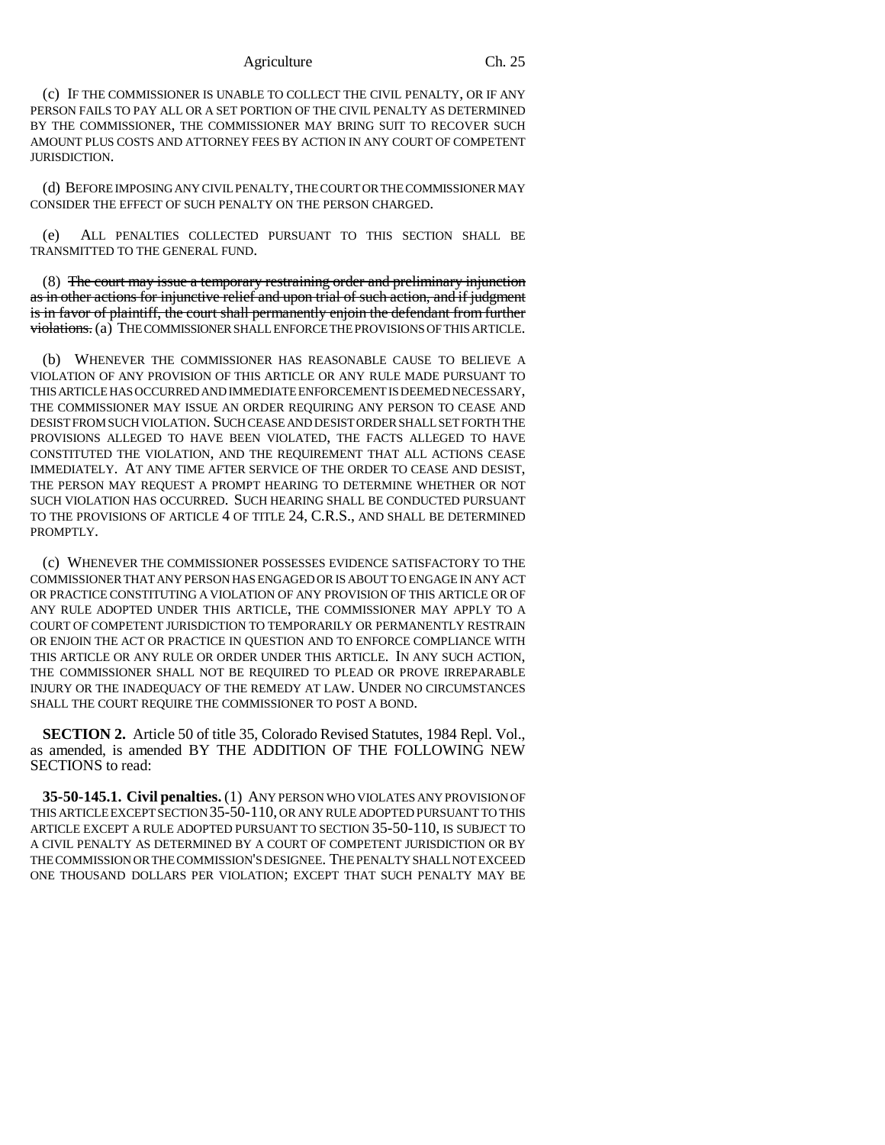### Agriculture Ch. 25

(c) IF THE COMMISSIONER IS UNABLE TO COLLECT THE CIVIL PENALTY, OR IF ANY PERSON FAILS TO PAY ALL OR A SET PORTION OF THE CIVIL PENALTY AS DETERMINED BY THE COMMISSIONER, THE COMMISSIONER MAY BRING SUIT TO RECOVER SUCH AMOUNT PLUS COSTS AND ATTORNEY FEES BY ACTION IN ANY COURT OF COMPETENT JURISDICTION.

(d) BEFORE IMPOSING ANY CIVIL PENALTY, THE COURT OR THE COMMISSIONER MAY CONSIDER THE EFFECT OF SUCH PENALTY ON THE PERSON CHARGED.

(e) ALL PENALTIES COLLECTED PURSUANT TO THIS SECTION SHALL BE TRANSMITTED TO THE GENERAL FUND.

(8) The court may issue a temporary restraining order and preliminary injunction as in other actions for injunctive relief and upon trial of such action, and if judgment is in favor of plaintiff, the court shall permanently enjoin the defendant from further violations. (a) THE COMMISSIONER SHALL ENFORCE THE PROVISIONS OF THIS ARTICLE.

(b) WHENEVER THE COMMISSIONER HAS REASONABLE CAUSE TO BELIEVE A VIOLATION OF ANY PROVISION OF THIS ARTICLE OR ANY RULE MADE PURSUANT TO THIS ARTICLE HAS OCCURRED AND IMMEDIATE ENFORCEMENT IS DEEMED NECESSARY, THE COMMISSIONER MAY ISSUE AN ORDER REQUIRING ANY PERSON TO CEASE AND DESIST FROM SUCH VIOLATION. SUCH CEASE AND DESIST ORDER SHALL SET FORTH THE PROVISIONS ALLEGED TO HAVE BEEN VIOLATED, THE FACTS ALLEGED TO HAVE CONSTITUTED THE VIOLATION, AND THE REQUIREMENT THAT ALL ACTIONS CEASE IMMEDIATELY. AT ANY TIME AFTER SERVICE OF THE ORDER TO CEASE AND DESIST, THE PERSON MAY REQUEST A PROMPT HEARING TO DETERMINE WHETHER OR NOT SUCH VIOLATION HAS OCCURRED. SUCH HEARING SHALL BE CONDUCTED PURSUANT TO THE PROVISIONS OF ARTICLE 4 OF TITLE 24, C.R.S., AND SHALL BE DETERMINED PROMPTLY.

(c) WHENEVER THE COMMISSIONER POSSESSES EVIDENCE SATISFACTORY TO THE COMMISSIONER THAT ANY PERSON HAS ENGAGED OR IS ABOUT TO ENGAGE IN ANY ACT OR PRACTICE CONSTITUTING A VIOLATION OF ANY PROVISION OF THIS ARTICLE OR OF ANY RULE ADOPTED UNDER THIS ARTICLE, THE COMMISSIONER MAY APPLY TO A COURT OF COMPETENT JURISDICTION TO TEMPORARILY OR PERMANENTLY RESTRAIN OR ENJOIN THE ACT OR PRACTICE IN QUESTION AND TO ENFORCE COMPLIANCE WITH THIS ARTICLE OR ANY RULE OR ORDER UNDER THIS ARTICLE. IN ANY SUCH ACTION, THE COMMISSIONER SHALL NOT BE REQUIRED TO PLEAD OR PROVE IRREPARABLE INJURY OR THE INADEQUACY OF THE REMEDY AT LAW. UNDER NO CIRCUMSTANCES SHALL THE COURT REQUIRE THE COMMISSIONER TO POST A BOND.

**SECTION 2.** Article 50 of title 35, Colorado Revised Statutes, 1984 Repl. Vol., as amended, is amended BY THE ADDITION OF THE FOLLOWING NEW SECTIONS to read:

**35-50-145.1. Civil penalties.** (1) ANY PERSON WHO VIOLATES ANY PROVISION OF THIS ARTICLE EXCEPT SECTION 35-50-110, OR ANY RULE ADOPTED PURSUANT TO THIS ARTICLE EXCEPT A RULE ADOPTED PURSUANT TO SECTION 35-50-110, IS SUBJECT TO A CIVIL PENALTY AS DETERMINED BY A COURT OF COMPETENT JURISDICTION OR BY THE COMMISSION OR THE COMMISSION'S DESIGNEE. THE PENALTY SHALL NOT EXCEED ONE THOUSAND DOLLARS PER VIOLATION; EXCEPT THAT SUCH PENALTY MAY BE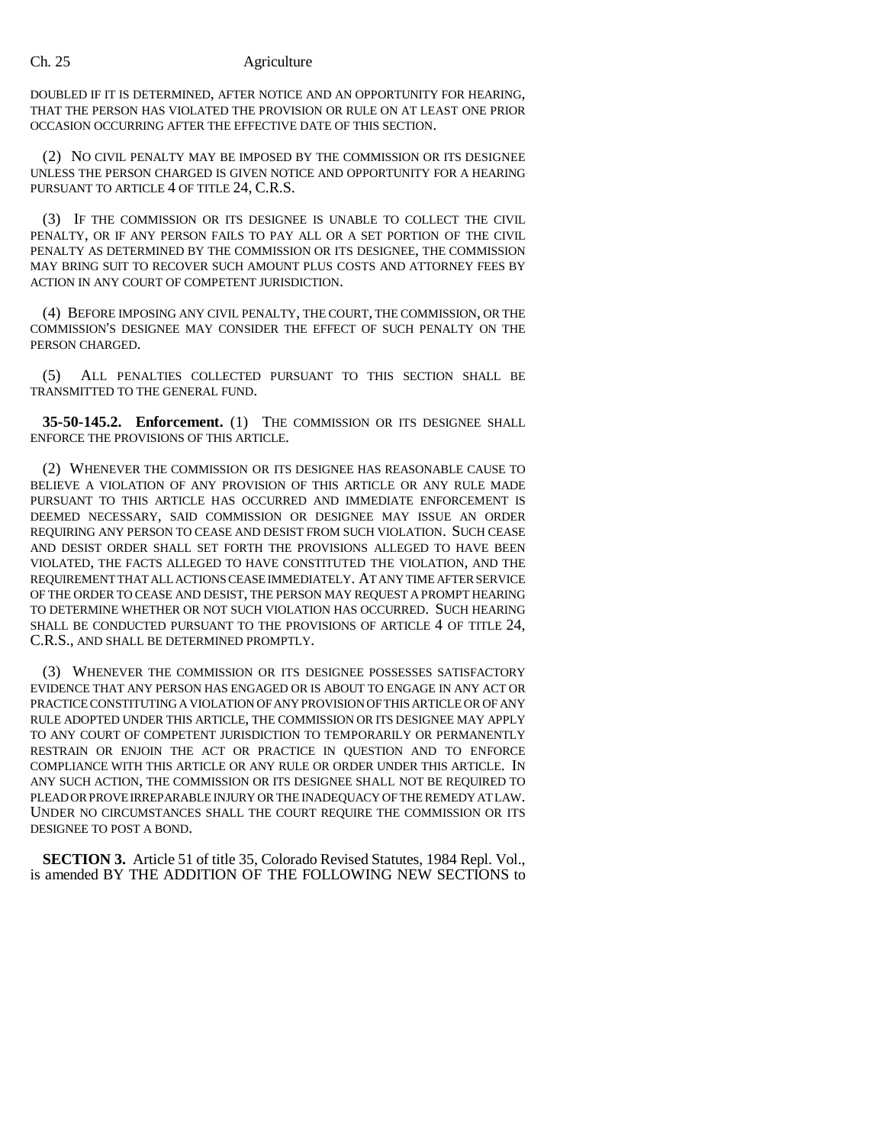### Ch. 25 Agriculture

DOUBLED IF IT IS DETERMINED, AFTER NOTICE AND AN OPPORTUNITY FOR HEARING, THAT THE PERSON HAS VIOLATED THE PROVISION OR RULE ON AT LEAST ONE PRIOR OCCASION OCCURRING AFTER THE EFFECTIVE DATE OF THIS SECTION.

(2) NO CIVIL PENALTY MAY BE IMPOSED BY THE COMMISSION OR ITS DESIGNEE UNLESS THE PERSON CHARGED IS GIVEN NOTICE AND OPPORTUNITY FOR A HEARING PURSUANT TO ARTICLE 4 OF TITLE 24, C.R.S.

(3) IF THE COMMISSION OR ITS DESIGNEE IS UNABLE TO COLLECT THE CIVIL PENALTY, OR IF ANY PERSON FAILS TO PAY ALL OR A SET PORTION OF THE CIVIL PENALTY AS DETERMINED BY THE COMMISSION OR ITS DESIGNEE, THE COMMISSION MAY BRING SUIT TO RECOVER SUCH AMOUNT PLUS COSTS AND ATTORNEY FEES BY ACTION IN ANY COURT OF COMPETENT JURISDICTION.

(4) BEFORE IMPOSING ANY CIVIL PENALTY, THE COURT, THE COMMISSION, OR THE COMMISSION'S DESIGNEE MAY CONSIDER THE EFFECT OF SUCH PENALTY ON THE PERSON CHARGED.

(5) ALL PENALTIES COLLECTED PURSUANT TO THIS SECTION SHALL BE TRANSMITTED TO THE GENERAL FUND.

**35-50-145.2. Enforcement.** (1) THE COMMISSION OR ITS DESIGNEE SHALL ENFORCE THE PROVISIONS OF THIS ARTICLE.

(2) WHENEVER THE COMMISSION OR ITS DESIGNEE HAS REASONABLE CAUSE TO BELIEVE A VIOLATION OF ANY PROVISION OF THIS ARTICLE OR ANY RULE MADE PURSUANT TO THIS ARTICLE HAS OCCURRED AND IMMEDIATE ENFORCEMENT IS DEEMED NECESSARY, SAID COMMISSION OR DESIGNEE MAY ISSUE AN ORDER REQUIRING ANY PERSON TO CEASE AND DESIST FROM SUCH VIOLATION. SUCH CEASE AND DESIST ORDER SHALL SET FORTH THE PROVISIONS ALLEGED TO HAVE BEEN VIOLATED, THE FACTS ALLEGED TO HAVE CONSTITUTED THE VIOLATION, AND THE REQUIREMENT THAT ALL ACTIONS CEASE IMMEDIATELY. AT ANY TIME AFTER SERVICE OF THE ORDER TO CEASE AND DESIST, THE PERSON MAY REQUEST A PROMPT HEARING TO DETERMINE WHETHER OR NOT SUCH VIOLATION HAS OCCURRED. SUCH HEARING SHALL BE CONDUCTED PURSUANT TO THE PROVISIONS OF ARTICLE 4 OF TITLE 24, C.R.S., AND SHALL BE DETERMINED PROMPTLY.

(3) WHENEVER THE COMMISSION OR ITS DESIGNEE POSSESSES SATISFACTORY EVIDENCE THAT ANY PERSON HAS ENGAGED OR IS ABOUT TO ENGAGE IN ANY ACT OR PRACTICE CONSTITUTING A VIOLATION OF ANY PROVISION OF THIS ARTICLE OR OF ANY RULE ADOPTED UNDER THIS ARTICLE, THE COMMISSION OR ITS DESIGNEE MAY APPLY TO ANY COURT OF COMPETENT JURISDICTION TO TEMPORARILY OR PERMANENTLY RESTRAIN OR ENJOIN THE ACT OR PRACTICE IN QUESTION AND TO ENFORCE COMPLIANCE WITH THIS ARTICLE OR ANY RULE OR ORDER UNDER THIS ARTICLE. IN ANY SUCH ACTION, THE COMMISSION OR ITS DESIGNEE SHALL NOT BE REQUIRED TO PLEAD OR PROVE IRREPARABLE INJURY OR THE INADEQUACY OF THE REMEDY AT LAW. UNDER NO CIRCUMSTANCES SHALL THE COURT REQUIRE THE COMMISSION OR ITS DESIGNEE TO POST A BOND.

**SECTION 3.** Article 51 of title 35, Colorado Revised Statutes, 1984 Repl. Vol., is amended BY THE ADDITION OF THE FOLLOWING NEW SECTIONS to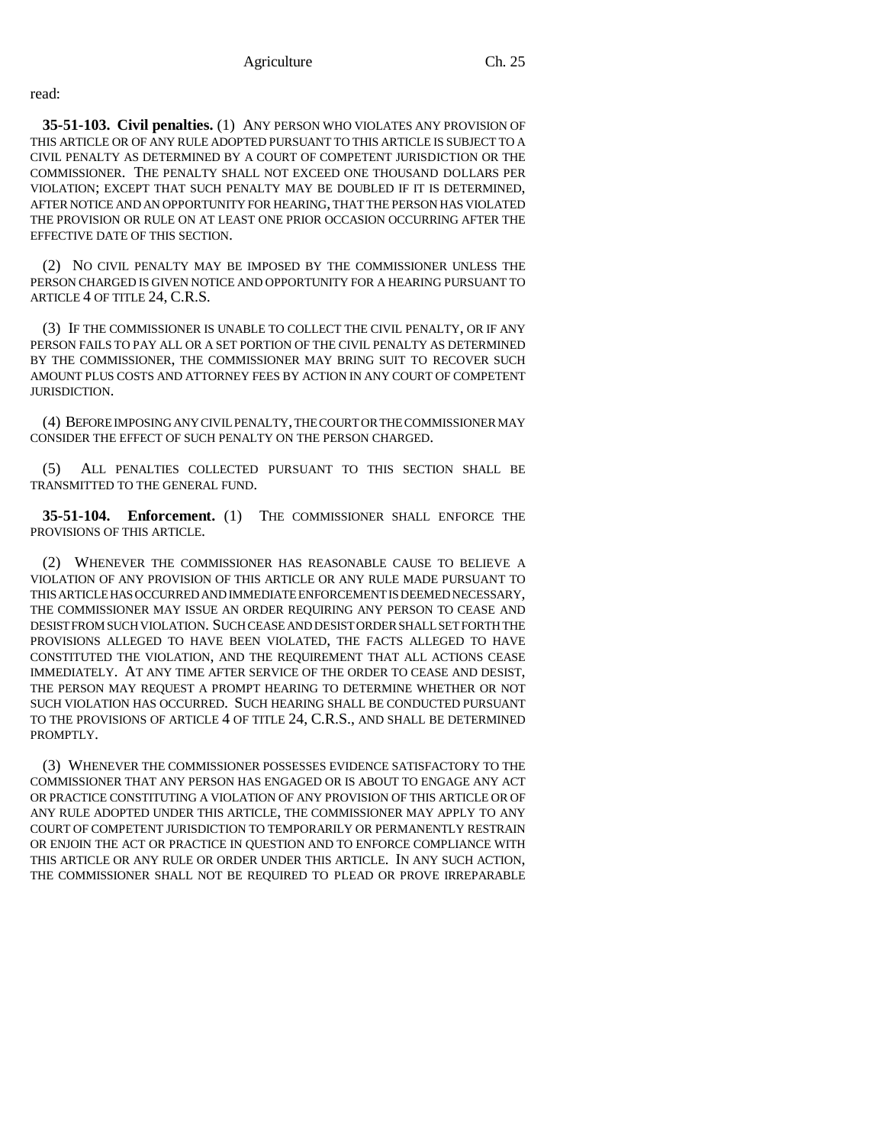read:

**35-51-103. Civil penalties.** (1) ANY PERSON WHO VIOLATES ANY PROVISION OF THIS ARTICLE OR OF ANY RULE ADOPTED PURSUANT TO THIS ARTICLE IS SUBJECT TO A CIVIL PENALTY AS DETERMINED BY A COURT OF COMPETENT JURISDICTION OR THE COMMISSIONER. THE PENALTY SHALL NOT EXCEED ONE THOUSAND DOLLARS PER VIOLATION; EXCEPT THAT SUCH PENALTY MAY BE DOUBLED IF IT IS DETERMINED, AFTER NOTICE AND AN OPPORTUNITY FOR HEARING, THAT THE PERSON HAS VIOLATED THE PROVISION OR RULE ON AT LEAST ONE PRIOR OCCASION OCCURRING AFTER THE EFFECTIVE DATE OF THIS SECTION.

(2) NO CIVIL PENALTY MAY BE IMPOSED BY THE COMMISSIONER UNLESS THE PERSON CHARGED IS GIVEN NOTICE AND OPPORTUNITY FOR A HEARING PURSUANT TO ARTICLE 4 OF TITLE 24, C.R.S.

(3) IF THE COMMISSIONER IS UNABLE TO COLLECT THE CIVIL PENALTY, OR IF ANY PERSON FAILS TO PAY ALL OR A SET PORTION OF THE CIVIL PENALTY AS DETERMINED BY THE COMMISSIONER, THE COMMISSIONER MAY BRING SUIT TO RECOVER SUCH AMOUNT PLUS COSTS AND ATTORNEY FEES BY ACTION IN ANY COURT OF COMPETENT JURISDICTION.

(4) BEFORE IMPOSING ANY CIVIL PENALTY, THE COURT OR THE COMMISSIONER MAY CONSIDER THE EFFECT OF SUCH PENALTY ON THE PERSON CHARGED.

(5) ALL PENALTIES COLLECTED PURSUANT TO THIS SECTION SHALL BE TRANSMITTED TO THE GENERAL FUND.

**35-51-104. Enforcement.** (1) THE COMMISSIONER SHALL ENFORCE THE PROVISIONS OF THIS ARTICLE.

(2) WHENEVER THE COMMISSIONER HAS REASONABLE CAUSE TO BELIEVE A VIOLATION OF ANY PROVISION OF THIS ARTICLE OR ANY RULE MADE PURSUANT TO THIS ARTICLE HAS OCCURRED AND IMMEDIATE ENFORCEMENT IS DEEMED NECESSARY, THE COMMISSIONER MAY ISSUE AN ORDER REQUIRING ANY PERSON TO CEASE AND DESIST FROM SUCH VIOLATION. SUCH CEASE AND DESIST ORDER SHALL SET FORTH THE PROVISIONS ALLEGED TO HAVE BEEN VIOLATED, THE FACTS ALLEGED TO HAVE CONSTITUTED THE VIOLATION, AND THE REQUIREMENT THAT ALL ACTIONS CEASE IMMEDIATELY. AT ANY TIME AFTER SERVICE OF THE ORDER TO CEASE AND DESIST, THE PERSON MAY REQUEST A PROMPT HEARING TO DETERMINE WHETHER OR NOT SUCH VIOLATION HAS OCCURRED. SUCH HEARING SHALL BE CONDUCTED PURSUANT TO THE PROVISIONS OF ARTICLE 4 OF TITLE 24, C.R.S., AND SHALL BE DETERMINED PROMPTLY.

(3) WHENEVER THE COMMISSIONER POSSESSES EVIDENCE SATISFACTORY TO THE COMMISSIONER THAT ANY PERSON HAS ENGAGED OR IS ABOUT TO ENGAGE ANY ACT OR PRACTICE CONSTITUTING A VIOLATION OF ANY PROVISION OF THIS ARTICLE OR OF ANY RULE ADOPTED UNDER THIS ARTICLE, THE COMMISSIONER MAY APPLY TO ANY COURT OF COMPETENT JURISDICTION TO TEMPORARILY OR PERMANENTLY RESTRAIN OR ENJOIN THE ACT OR PRACTICE IN QUESTION AND TO ENFORCE COMPLIANCE WITH THIS ARTICLE OR ANY RULE OR ORDER UNDER THIS ARTICLE. IN ANY SUCH ACTION, THE COMMISSIONER SHALL NOT BE REQUIRED TO PLEAD OR PROVE IRREPARABLE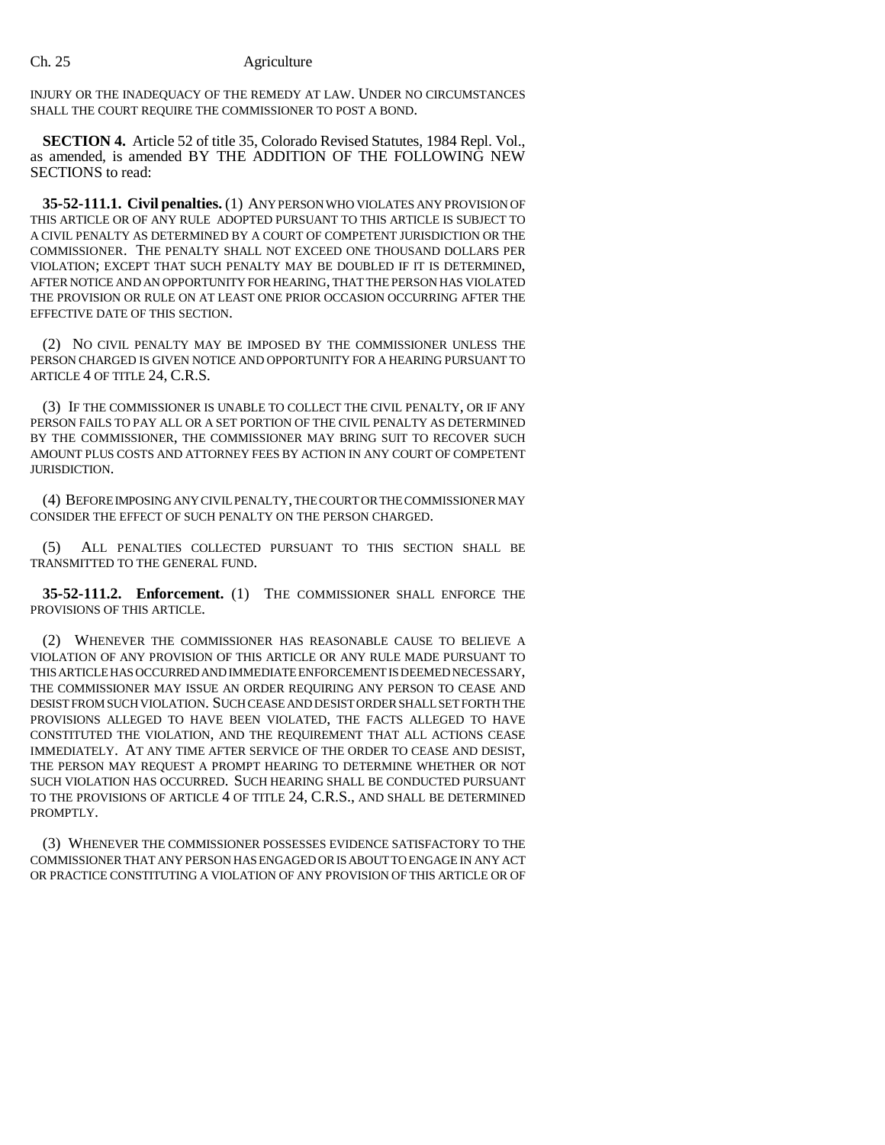INJURY OR THE INADEQUACY OF THE REMEDY AT LAW. UNDER NO CIRCUMSTANCES SHALL THE COURT REQUIRE THE COMMISSIONER TO POST A BOND.

**SECTION 4.** Article 52 of title 35, Colorado Revised Statutes, 1984 Repl. Vol., as amended, is amended BY THE ADDITION OF THE FOLLOWING NEW SECTIONS to read:

**35-52-111.1. Civil penalties.** (1) ANY PERSON WHO VIOLATES ANY PROVISION OF THIS ARTICLE OR OF ANY RULE ADOPTED PURSUANT TO THIS ARTICLE IS SUBJECT TO A CIVIL PENALTY AS DETERMINED BY A COURT OF COMPETENT JURISDICTION OR THE COMMISSIONER. THE PENALTY SHALL NOT EXCEED ONE THOUSAND DOLLARS PER VIOLATION; EXCEPT THAT SUCH PENALTY MAY BE DOUBLED IF IT IS DETERMINED, AFTER NOTICE AND AN OPPORTUNITY FOR HEARING, THAT THE PERSON HAS VIOLATED THE PROVISION OR RULE ON AT LEAST ONE PRIOR OCCASION OCCURRING AFTER THE EFFECTIVE DATE OF THIS SECTION.

(2) NO CIVIL PENALTY MAY BE IMPOSED BY THE COMMISSIONER UNLESS THE PERSON CHARGED IS GIVEN NOTICE AND OPPORTUNITY FOR A HEARING PURSUANT TO ARTICLE 4 OF TITLE 24, C.R.S.

(3) IF THE COMMISSIONER IS UNABLE TO COLLECT THE CIVIL PENALTY, OR IF ANY PERSON FAILS TO PAY ALL OR A SET PORTION OF THE CIVIL PENALTY AS DETERMINED BY THE COMMISSIONER, THE COMMISSIONER MAY BRING SUIT TO RECOVER SUCH AMOUNT PLUS COSTS AND ATTORNEY FEES BY ACTION IN ANY COURT OF COMPETENT JURISDICTION.

(4) BEFORE IMPOSING ANY CIVIL PENALTY, THE COURT OR THE COMMISSIONER MAY CONSIDER THE EFFECT OF SUCH PENALTY ON THE PERSON CHARGED.

(5) ALL PENALTIES COLLECTED PURSUANT TO THIS SECTION SHALL BE TRANSMITTED TO THE GENERAL FUND.

**35-52-111.2. Enforcement.** (1) THE COMMISSIONER SHALL ENFORCE THE PROVISIONS OF THIS ARTICLE.

(2) WHENEVER THE COMMISSIONER HAS REASONABLE CAUSE TO BELIEVE A VIOLATION OF ANY PROVISION OF THIS ARTICLE OR ANY RULE MADE PURSUANT TO THIS ARTICLE HAS OCCURRED AND IMMEDIATE ENFORCEMENT IS DEEMED NECESSARY, THE COMMISSIONER MAY ISSUE AN ORDER REQUIRING ANY PERSON TO CEASE AND DESIST FROM SUCH VIOLATION. SUCH CEASE AND DESIST ORDER SHALL SET FORTH THE PROVISIONS ALLEGED TO HAVE BEEN VIOLATED, THE FACTS ALLEGED TO HAVE CONSTITUTED THE VIOLATION, AND THE REQUIREMENT THAT ALL ACTIONS CEASE IMMEDIATELY. AT ANY TIME AFTER SERVICE OF THE ORDER TO CEASE AND DESIST, THE PERSON MAY REQUEST A PROMPT HEARING TO DETERMINE WHETHER OR NOT SUCH VIOLATION HAS OCCURRED. SUCH HEARING SHALL BE CONDUCTED PURSUANT TO THE PROVISIONS OF ARTICLE 4 OF TITLE 24, C.R.S., AND SHALL BE DETERMINED PROMPTLY.

(3) WHENEVER THE COMMISSIONER POSSESSES EVIDENCE SATISFACTORY TO THE COMMISSIONER THAT ANY PERSON HAS ENGAGED OR IS ABOUT TO ENGAGE IN ANY ACT OR PRACTICE CONSTITUTING A VIOLATION OF ANY PROVISION OF THIS ARTICLE OR OF